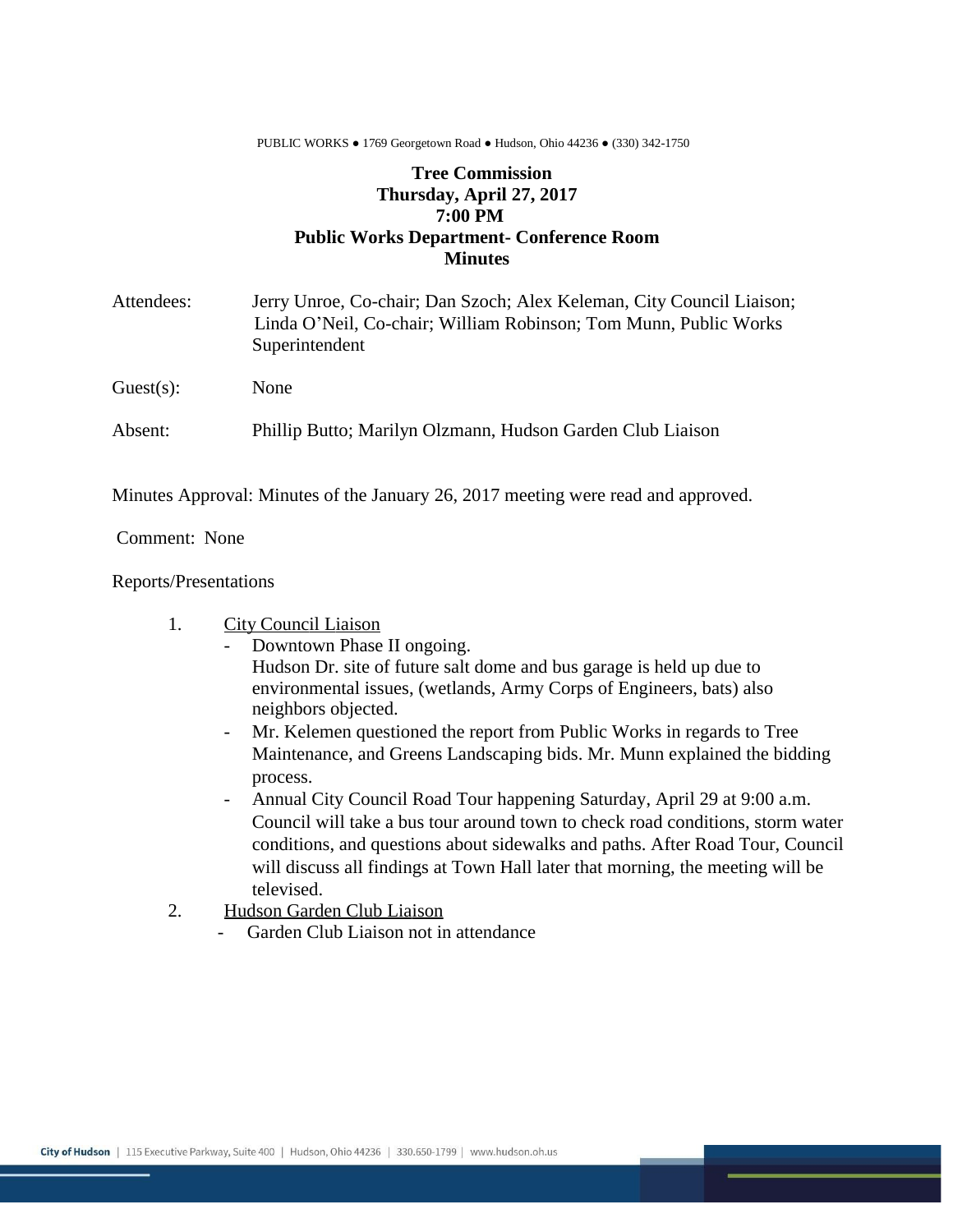PUBLIC WORKS ● 1769 Georgetown Road ● Hudson, Ohio 44236 ● (330) 342-1750

## **Tree Commission Thursday, April 27, 2017 7:00 PM Public Works Department- Conference Room Minutes**

| Attendees: | Jerry Unroe, Co-chair; Dan Szoch; Alex Keleman, City Council Liaison;<br>Linda O'Neil, Co-chair; William Robinson; Tom Munn, Public Works<br>Superintendent |
|------------|-------------------------------------------------------------------------------------------------------------------------------------------------------------|
| Guest(s):  | None                                                                                                                                                        |
| Absent:    | Phillip Butto; Marilyn Olzmann, Hudson Garden Club Liaison                                                                                                  |

Minutes Approval: Minutes of the January 26, 2017 meeting were read and approved.

Comment: None

## Reports/Presentations

## 1. City Council Liaison

- Downtown Phase II ongoing. Hudson Dr. site of future salt dome and bus garage is held up due to environmental issues, (wetlands, Army Corps of Engineers, bats) also neighbors objected.
- Mr. Kelemen questioned the report from Public Works in regards to Tree Maintenance, and Greens Landscaping bids. Mr. Munn explained the bidding process.
- Annual City Council Road Tour happening Saturday, April 29 at 9:00 a.m. Council will take a bus tour around town to check road conditions, storm water conditions, and questions about sidewalks and paths. After Road Tour, Council will discuss all findings at Town Hall later that morning, the meeting will be televised.
- 2. Hudson Garden Club Liaison
	- Garden Club Liaison not in attendance